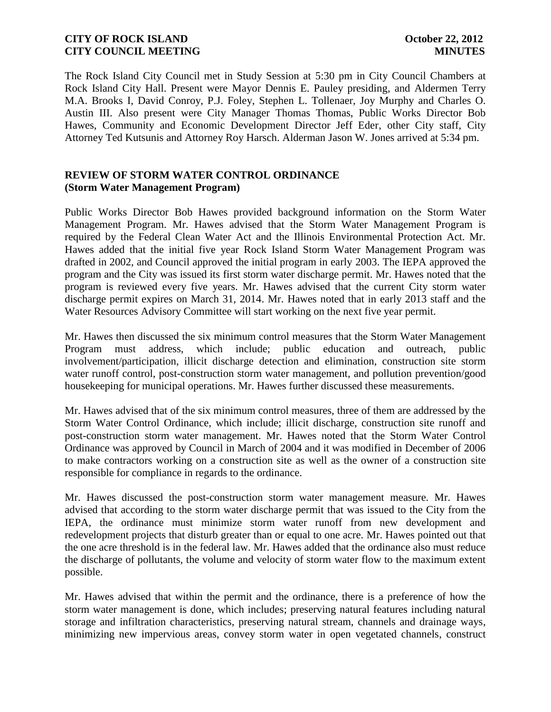The Rock Island City Council met in Study Session at 5:30 pm in City Council Chambers at Rock Island City Hall. Present were Mayor Dennis E. Pauley presiding, and Aldermen Terry M.A. Brooks I, David Conroy, P.J. Foley, Stephen L. Tollenaer, Joy Murphy and Charles O. Austin III. Also present were City Manager Thomas Thomas, Public Works Director Bob Hawes, Community and Economic Development Director Jeff Eder, other City staff, City Attorney Ted Kutsunis and Attorney Roy Harsch. Alderman Jason W. Jones arrived at 5:34 pm.

## **REVIEW OF STORM WATER CONTROL ORDINANCE (Storm Water Management Program)**

Public Works Director Bob Hawes provided background information on the Storm Water Management Program. Mr. Hawes advised that the Storm Water Management Program is required by the Federal Clean Water Act and the Illinois Environmental Protection Act. Mr. Hawes added that the initial five year Rock Island Storm Water Management Program was drafted in 2002, and Council approved the initial program in early 2003. The IEPA approved the program and the City was issued its first storm water discharge permit. Mr. Hawes noted that the program is reviewed every five years. Mr. Hawes advised that the current City storm water discharge permit expires on March 31, 2014. Mr. Hawes noted that in early 2013 staff and the Water Resources Advisory Committee will start working on the next five year permit.

Mr. Hawes then discussed the six minimum control measures that the Storm Water Management Program must address, which include; public education and outreach, public involvement/participation, illicit discharge detection and elimination, construction site storm water runoff control, post-construction storm water management, and pollution prevention/good housekeeping for municipal operations. Mr. Hawes further discussed these measurements.

Mr. Hawes advised that of the six minimum control measures, three of them are addressed by the Storm Water Control Ordinance, which include; illicit discharge, construction site runoff and post-construction storm water management. Mr. Hawes noted that the Storm Water Control Ordinance was approved by Council in March of 2004 and it was modified in December of 2006 to make contractors working on a construction site as well as the owner of a construction site responsible for compliance in regards to the ordinance.

Mr. Hawes discussed the post-construction storm water management measure. Mr. Hawes advised that according to the storm water discharge permit that was issued to the City from the IEPA, the ordinance must minimize storm water runoff from new development and redevelopment projects that disturb greater than or equal to one acre. Mr. Hawes pointed out that the one acre threshold is in the federal law. Mr. Hawes added that the ordinance also must reduce the discharge of pollutants, the volume and velocity of storm water flow to the maximum extent possible.

Mr. Hawes advised that within the permit and the ordinance, there is a preference of how the storm water management is done, which includes; preserving natural features including natural storage and infiltration characteristics, preserving natural stream, channels and drainage ways, minimizing new impervious areas, convey storm water in open vegetated channels, construct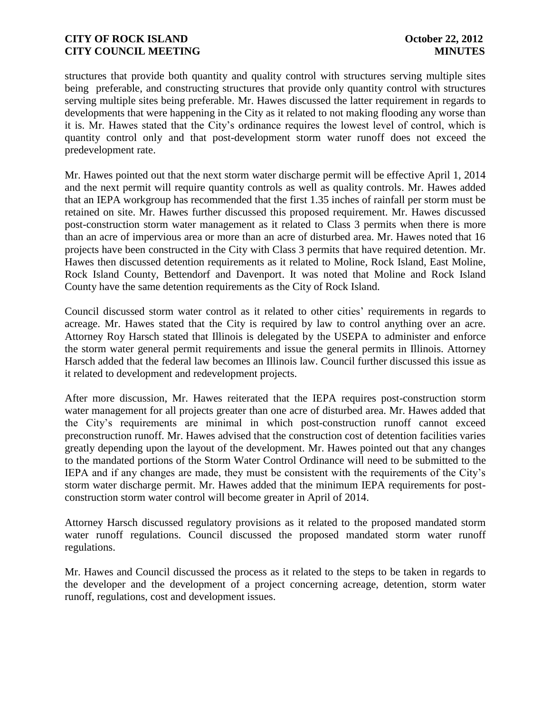structures that provide both quantity and quality control with structures serving multiple sites being preferable, and constructing structures that provide only quantity control with structures serving multiple sites being preferable. Mr. Hawes discussed the latter requirement in regards to developments that were happening in the City as it related to not making flooding any worse than it is. Mr. Hawes stated that the City's ordinance requires the lowest level of control, which is quantity control only and that post-development storm water runoff does not exceed the predevelopment rate.

Mr. Hawes pointed out that the next storm water discharge permit will be effective April 1, 2014 and the next permit will require quantity controls as well as quality controls. Mr. Hawes added that an IEPA workgroup has recommended that the first 1.35 inches of rainfall per storm must be retained on site. Mr. Hawes further discussed this proposed requirement. Mr. Hawes discussed post-construction storm water management as it related to Class 3 permits when there is more than an acre of impervious area or more than an acre of disturbed area. Mr. Hawes noted that 16 projects have been constructed in the City with Class 3 permits that have required detention. Mr. Hawes then discussed detention requirements as it related to Moline, Rock Island, East Moline, Rock Island County, Bettendorf and Davenport. It was noted that Moline and Rock Island County have the same detention requirements as the City of Rock Island.

Council discussed storm water control as it related to other cities' requirements in regards to acreage. Mr. Hawes stated that the City is required by law to control anything over an acre. Attorney Roy Harsch stated that Illinois is delegated by the USEPA to administer and enforce the storm water general permit requirements and issue the general permits in Illinois. Attorney Harsch added that the federal law becomes an Illinois law. Council further discussed this issue as it related to development and redevelopment projects.

After more discussion, Mr. Hawes reiterated that the IEPA requires post-construction storm water management for all projects greater than one acre of disturbed area. Mr. Hawes added that the City's requirements are minimal in which post-construction runoff cannot exceed preconstruction runoff. Mr. Hawes advised that the construction cost of detention facilities varies greatly depending upon the layout of the development. Mr. Hawes pointed out that any changes to the mandated portions of the Storm Water Control Ordinance will need to be submitted to the IEPA and if any changes are made, they must be consistent with the requirements of the City's storm water discharge permit. Mr. Hawes added that the minimum IEPA requirements for postconstruction storm water control will become greater in April of 2014.

Attorney Harsch discussed regulatory provisions as it related to the proposed mandated storm water runoff regulations. Council discussed the proposed mandated storm water runoff regulations.

Mr. Hawes and Council discussed the process as it related to the steps to be taken in regards to the developer and the development of a project concerning acreage, detention, storm water runoff, regulations, cost and development issues.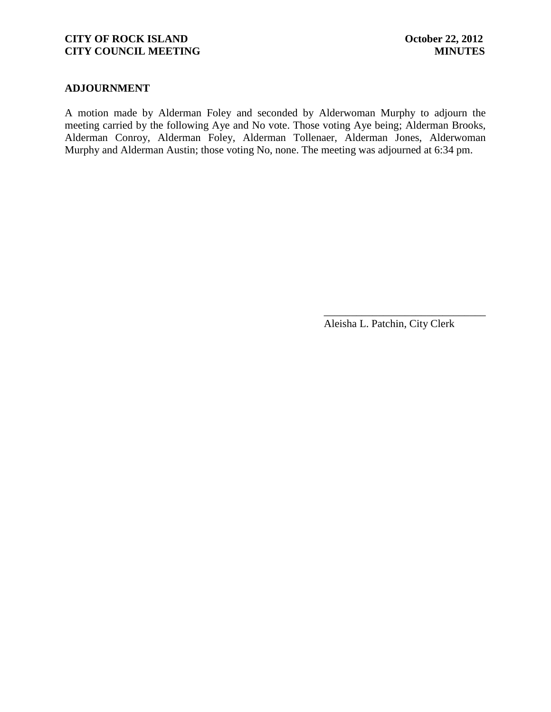#### **ADJOURNMENT**

A motion made by Alderman Foley and seconded by Alderwoman Murphy to adjourn the meeting carried by the following Aye and No vote. Those voting Aye being; Alderman Brooks, Alderman Conroy, Alderman Foley, Alderman Tollenaer, Alderman Jones, Alderwoman Murphy and Alderman Austin; those voting No, none. The meeting was adjourned at 6:34 pm.

Aleisha L. Patchin, City Clerk

\_\_\_\_\_\_\_\_\_\_\_\_\_\_\_\_\_\_\_\_\_\_\_\_\_\_\_\_\_\_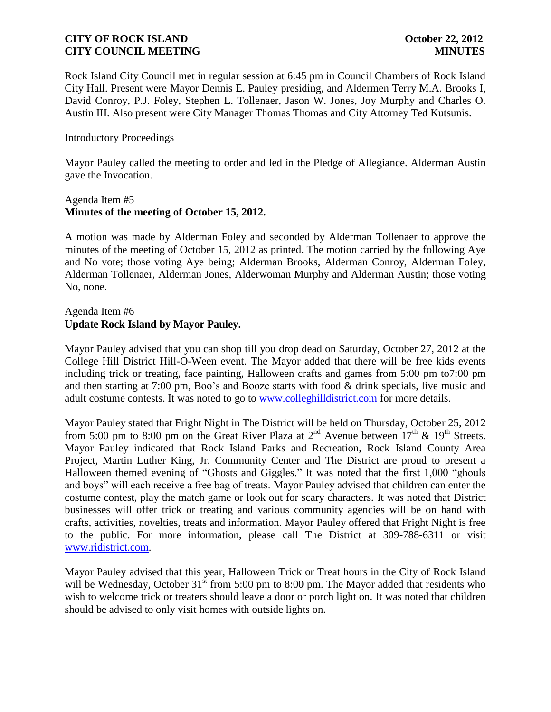Rock Island City Council met in regular session at 6:45 pm in Council Chambers of Rock Island City Hall. Present were Mayor Dennis E. Pauley presiding, and Aldermen Terry M.A. Brooks I, David Conroy, P.J. Foley, Stephen L. Tollenaer, Jason W. Jones, Joy Murphy and Charles O. Austin III. Also present were City Manager Thomas Thomas and City Attorney Ted Kutsunis.

### Introductory Proceedings

Mayor Pauley called the meeting to order and led in the Pledge of Allegiance. Alderman Austin gave the Invocation.

### Agenda Item #5 **Minutes of the meeting of October 15, 2012.**

A motion was made by Alderman Foley and seconded by Alderman Tollenaer to approve the minutes of the meeting of October 15, 2012 as printed. The motion carried by the following Aye and No vote; those voting Aye being; Alderman Brooks, Alderman Conroy, Alderman Foley, Alderman Tollenaer, Alderman Jones, Alderwoman Murphy and Alderman Austin; those voting No, none.

## Agenda Item #6 **Update Rock Island by Mayor Pauley.**

Mayor Pauley advised that you can shop till you drop dead on Saturday, October 27, 2012 at the College Hill District Hill-O-Ween event. The Mayor added that there will be free kids events including trick or treating, face painting, Halloween crafts and games from 5:00 pm to7:00 pm and then starting at 7:00 pm, Boo's and Booze starts with food & drink specials, live music and adult costume contests. It was noted to go to [www.colleghilldistrict.com](http://www.colleghilldistrict.com/) for more details.

Mayor Pauley stated that Fright Night in The District will be held on Thursday, October 25, 2012 from 5:00 pm to 8:00 pm on the Great River Plaza at  $2<sup>nd</sup>$  Avenue between  $17<sup>th</sup>$  &  $19<sup>th</sup>$  Streets. Mayor Pauley indicated that Rock Island Parks and Recreation, Rock Island County Area Project, Martin Luther King, Jr. Community Center and The District are proud to present a Halloween themed evening of "Ghosts and Giggles." It was noted that the first 1,000 "ghouls and boys" will each receive a free bag of treats. Mayor Pauley advised that children can enter the costume contest, play the match game or look out for scary characters. It was noted that District businesses will offer trick or treating and various community agencies will be on hand with crafts, activities, novelties, treats and information. Mayor Pauley offered that Fright Night is free to the public. For more information, please call The District at 309-788-6311 or visit [www.ridistrict.com.](http://www.ridistrict.com/)

Mayor Pauley advised that this year, Halloween Trick or Treat hours in the City of Rock Island will be Wednesday, October  $31<sup>st</sup>$  from 5:00 pm to 8:00 pm. The Mayor added that residents who wish to welcome trick or treaters should leave a door or porch light on. It was noted that children should be advised to only visit homes with outside lights on.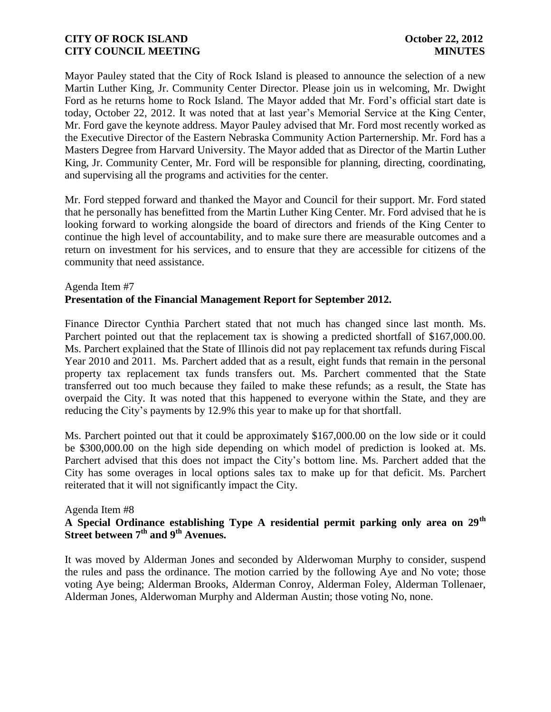Mayor Pauley stated that the City of Rock Island is pleased to announce the selection of a new Martin Luther King, Jr. Community Center Director. Please join us in welcoming, Mr. Dwight Ford as he returns home to Rock Island. The Mayor added that Mr. Ford's official start date is today, October 22, 2012. It was noted that at last year's Memorial Service at the King Center, Mr. Ford gave the keynote address. Mayor Pauley advised that Mr. Ford most recently worked as the Executive Director of the Eastern Nebraska Community Action Parternership. Mr. Ford has a Masters Degree from Harvard University. The Mayor added that as Director of the Martin Luther King, Jr. Community Center, Mr. Ford will be responsible for planning, directing, coordinating, and supervising all the programs and activities for the center.

Mr. Ford stepped forward and thanked the Mayor and Council for their support. Mr. Ford stated that he personally has benefitted from the Martin Luther King Center. Mr. Ford advised that he is looking forward to working alongside the board of directors and friends of the King Center to continue the high level of accountability, and to make sure there are measurable outcomes and a return on investment for his services, and to ensure that they are accessible for citizens of the community that need assistance.

# Agenda Item #7 **Presentation of the Financial Management Report for September 2012.**

Finance Director Cynthia Parchert stated that not much has changed since last month. Ms. Parchert pointed out that the replacement tax is showing a predicted shortfall of \$167,000.00. Ms. Parchert explained that the State of Illinois did not pay replacement tax refunds during Fiscal Year 2010 and 2011. Ms. Parchert added that as a result, eight funds that remain in the personal property tax replacement tax funds transfers out. Ms. Parchert commented that the State transferred out too much because they failed to make these refunds; as a result, the State has overpaid the City. It was noted that this happened to everyone within the State, and they are reducing the City's payments by 12.9% this year to make up for that shortfall.

Ms. Parchert pointed out that it could be approximately \$167,000.00 on the low side or it could be \$300,000.00 on the high side depending on which model of prediction is looked at. Ms. Parchert advised that this does not impact the City's bottom line. Ms. Parchert added that the City has some overages in local options sales tax to make up for that deficit. Ms. Parchert reiterated that it will not significantly impact the City.

### Agenda Item #8

# **A Special Ordinance establishing Type A residential permit parking only area on 29th Street between 7th and 9th Avenues.**

It was moved by Alderman Jones and seconded by Alderwoman Murphy to consider, suspend the rules and pass the ordinance. The motion carried by the following Aye and No vote; those voting Aye being; Alderman Brooks, Alderman Conroy, Alderman Foley, Alderman Tollenaer, Alderman Jones, Alderwoman Murphy and Alderman Austin; those voting No, none.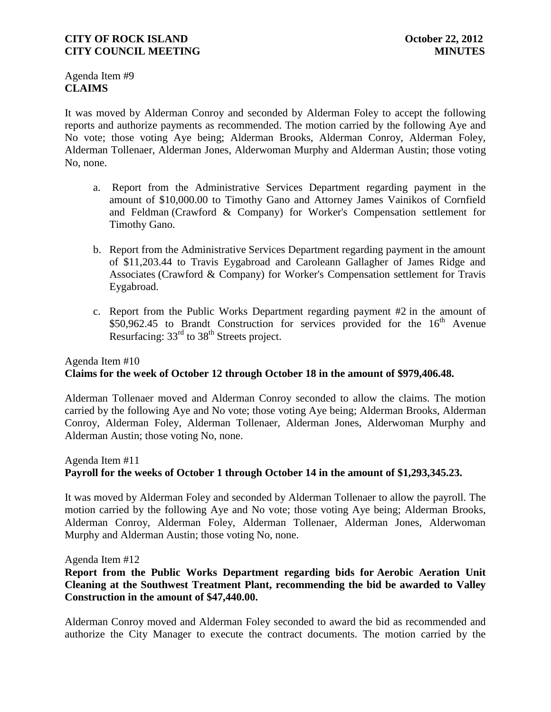Agenda Item #9 **CLAIMS**

It was moved by Alderman Conroy and seconded by Alderman Foley to accept the following reports and authorize payments as recommended. The motion carried by the following Aye and No vote; those voting Aye being; Alderman Brooks, Alderman Conroy, Alderman Foley, Alderman Tollenaer, Alderman Jones, Alderwoman Murphy and Alderman Austin; those voting No, none.

- a. Report from the Administrative Services Department regarding payment in the amount of \$10,000.00 to Timothy Gano and Attorney James Vainikos of Cornfield and Feldman (Crawford & Company) for Worker's Compensation settlement for Timothy Gano.
- b. Report from the Administrative Services Department regarding payment in the amount of \$11,203.44 to Travis Eygabroad and Caroleann Gallagher of James Ridge and Associates (Crawford & Company) for Worker's Compensation settlement for Travis Eygabroad.
- c. Report from the Public Works Department regarding payment #2 in the amount of  $$50,962.45$  to Brandt Construction for services provided for the  $16<sup>th</sup>$  Avenue Resurfacing: 33<sup>rd</sup> to 38<sup>th</sup> Streets project.

# Agenda Item #10 **Claims for the week of October 12 through October 18 in the amount of \$979,406.48.**

Alderman Tollenaer moved and Alderman Conroy seconded to allow the claims. The motion carried by the following Aye and No vote; those voting Aye being; Alderman Brooks, Alderman Conroy, Alderman Foley, Alderman Tollenaer, Alderman Jones, Alderwoman Murphy and Alderman Austin; those voting No, none.

## Agenda Item #11 **Payroll for the weeks of October 1 through October 14 in the amount of \$1,293,345.23.**

It was moved by Alderman Foley and seconded by Alderman Tollenaer to allow the payroll. The motion carried by the following Aye and No vote; those voting Aye being; Alderman Brooks, Alderman Conroy, Alderman Foley, Alderman Tollenaer, Alderman Jones, Alderwoman Murphy and Alderman Austin; those voting No, none.

Agenda Item #12

# **Report from the Public Works Department regarding bids for Aerobic Aeration Unit Cleaning at the Southwest Treatment Plant, recommending the bid be awarded to Valley Construction in the amount of \$47,440.00.**

Alderman Conroy moved and Alderman Foley seconded to award the bid as recommended and authorize the City Manager to execute the contract documents. The motion carried by the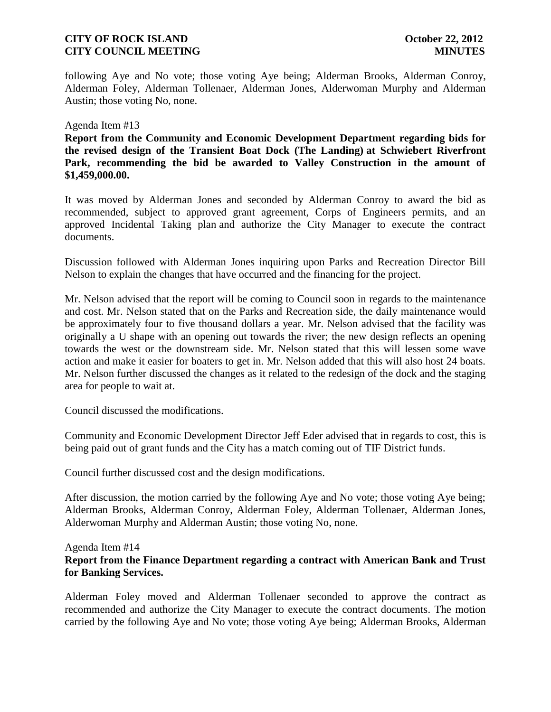following Aye and No vote; those voting Aye being; Alderman Brooks, Alderman Conroy, Alderman Foley, Alderman Tollenaer, Alderman Jones, Alderwoman Murphy and Alderman Austin; those voting No, none.

#### Agenda Item #13

**Report from the Community and Economic Development Department regarding bids for the revised design of the Transient Boat Dock (The Landing) at Schwiebert Riverfront Park, recommending the bid be awarded to Valley Construction in the amount of \$1,459,000.00.**

It was moved by Alderman Jones and seconded by Alderman Conroy to award the bid as recommended, subject to approved grant agreement, Corps of Engineers permits, and an approved Incidental Taking plan and authorize the City Manager to execute the contract documents.

Discussion followed with Alderman Jones inquiring upon Parks and Recreation Director Bill Nelson to explain the changes that have occurred and the financing for the project.

Mr. Nelson advised that the report will be coming to Council soon in regards to the maintenance and cost. Mr. Nelson stated that on the Parks and Recreation side, the daily maintenance would be approximately four to five thousand dollars a year. Mr. Nelson advised that the facility was originally a U shape with an opening out towards the river; the new design reflects an opening towards the west or the downstream side. Mr. Nelson stated that this will lessen some wave action and make it easier for boaters to get in. Mr. Nelson added that this will also host 24 boats. Mr. Nelson further discussed the changes as it related to the redesign of the dock and the staging area for people to wait at.

Council discussed the modifications.

Community and Economic Development Director Jeff Eder advised that in regards to cost, this is being paid out of grant funds and the City has a match coming out of TIF District funds.

Council further discussed cost and the design modifications.

After discussion, the motion carried by the following Aye and No vote; those voting Aye being; Alderman Brooks, Alderman Conroy, Alderman Foley, Alderman Tollenaer, Alderman Jones, Alderwoman Murphy and Alderman Austin; those voting No, none.

#### Agenda Item #14

## **Report from the Finance Department regarding a contract with American Bank and Trust for Banking Services.**

Alderman Foley moved and Alderman Tollenaer seconded to approve the contract as recommended and authorize the City Manager to execute the contract documents. The motion carried by the following Aye and No vote; those voting Aye being; Alderman Brooks, Alderman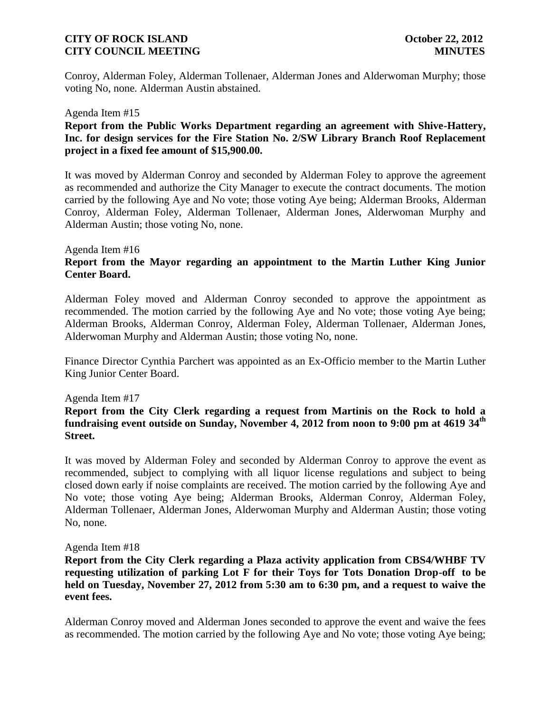Conroy, Alderman Foley, Alderman Tollenaer, Alderman Jones and Alderwoman Murphy; those voting No, none. Alderman Austin abstained.

#### Agenda Item #15

### **Report from the Public Works Department regarding an agreement with Shive-Hattery, Inc. for design services for the Fire Station No. 2/SW Library Branch Roof Replacement project in a fixed fee amount of \$15,900.00.**

It was moved by Alderman Conroy and seconded by Alderman Foley to approve the agreement as recommended and authorize the City Manager to execute the contract documents. The motion carried by the following Aye and No vote; those voting Aye being; Alderman Brooks, Alderman Conroy, Alderman Foley, Alderman Tollenaer, Alderman Jones, Alderwoman Murphy and Alderman Austin; those voting No, none.

#### Agenda Item #16

# **Report from the Mayor regarding an appointment to the Martin Luther King Junior Center Board.**

Alderman Foley moved and Alderman Conroy seconded to approve the appointment as recommended. The motion carried by the following Aye and No vote; those voting Aye being; Alderman Brooks, Alderman Conroy, Alderman Foley, Alderman Tollenaer, Alderman Jones, Alderwoman Murphy and Alderman Austin; those voting No, none.

Finance Director Cynthia Parchert was appointed as an Ex-Officio member to the Martin Luther King Junior Center Board.

#### Agenda Item #17

## **Report from the City Clerk regarding a request from Martinis on the Rock to hold a fundraising event outside on Sunday, November 4, 2012 from noon to 9:00 pm at 4619 34th Street.**

It was moved by Alderman Foley and seconded by Alderman Conroy to approve the event as recommended, subject to complying with all liquor license regulations and subject to being closed down early if noise complaints are received. The motion carried by the following Aye and No vote; those voting Aye being; Alderman Brooks, Alderman Conroy, Alderman Foley, Alderman Tollenaer, Alderman Jones, Alderwoman Murphy and Alderman Austin; those voting No, none.

#### Agenda Item #18

## **Report from the City Clerk regarding a Plaza activity application from CBS4/WHBF TV requesting utilization of parking Lot F for their Toys for Tots Donation Drop-off to be held on Tuesday, November 27, 2012 from 5:30 am to 6:30 pm, and a request to waive the event fees.**

Alderman Conroy moved and Alderman Jones seconded to approve the event and waive the fees as recommended. The motion carried by the following Aye and No vote; those voting Aye being;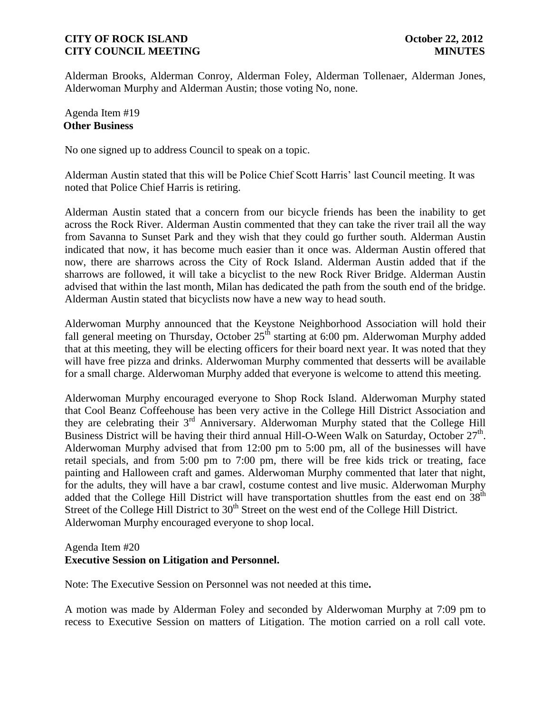Alderman Brooks, Alderman Conroy, Alderman Foley, Alderman Tollenaer, Alderman Jones, Alderwoman Murphy and Alderman Austin; those voting No, none.

## Agenda Item #19 **Other Business**

No one signed up to address Council to speak on a topic.

Alderman Austin stated that this will be Police Chief Scott Harris' last Council meeting. It was noted that Police Chief Harris is retiring.

Alderman Austin stated that a concern from our bicycle friends has been the inability to get across the Rock River. Alderman Austin commented that they can take the river trail all the way from Savanna to Sunset Park and they wish that they could go further south. Alderman Austin indicated that now, it has become much easier than it once was. Alderman Austin offered that now, there are sharrows across the City of Rock Island. Alderman Austin added that if the sharrows are followed, it will take a bicyclist to the new Rock River Bridge. Alderman Austin advised that within the last month, Milan has dedicated the path from the south end of the bridge. Alderman Austin stated that bicyclists now have a new way to head south.

Alderwoman Murphy announced that the Keystone Neighborhood Association will hold their fall general meeting on Thursday, October  $25<sup>th</sup>$  starting at 6:00 pm. Alderwoman Murphy added that at this meeting, they will be electing officers for their board next year. It was noted that they will have free pizza and drinks. Alderwoman Murphy commented that desserts will be available for a small charge. Alderwoman Murphy added that everyone is welcome to attend this meeting.

Alderwoman Murphy encouraged everyone to Shop Rock Island. Alderwoman Murphy stated that Cool Beanz Coffeehouse has been very active in the College Hill District Association and they are celebrating their 3rd Anniversary. Alderwoman Murphy stated that the College Hill Business District will be having their third annual Hill-O-Ween Walk on Saturday, October  $27<sup>th</sup>$ . Alderwoman Murphy advised that from 12:00 pm to 5:00 pm, all of the businesses will have retail specials, and from 5:00 pm to 7:00 pm, there will be free kids trick or treating, face painting and Halloween craft and games. Alderwoman Murphy commented that later that night, for the adults, they will have a bar crawl, costume contest and live music. Alderwoman Murphy added that the College Hill District will have transportation shuttles from the east end on 38<sup>th</sup> Street of the College Hill District to  $30<sup>th</sup>$  Street on the west end of the College Hill District. Alderwoman Murphy encouraged everyone to shop local.

#### Agenda Item #20

# **Executive Session on Litigation and Personnel.**

Note: The Executive Session on Personnel was not needed at this time**.**

A motion was made by Alderman Foley and seconded by Alderwoman Murphy at 7:09 pm to recess to Executive Session on matters of Litigation. The motion carried on a roll call vote.